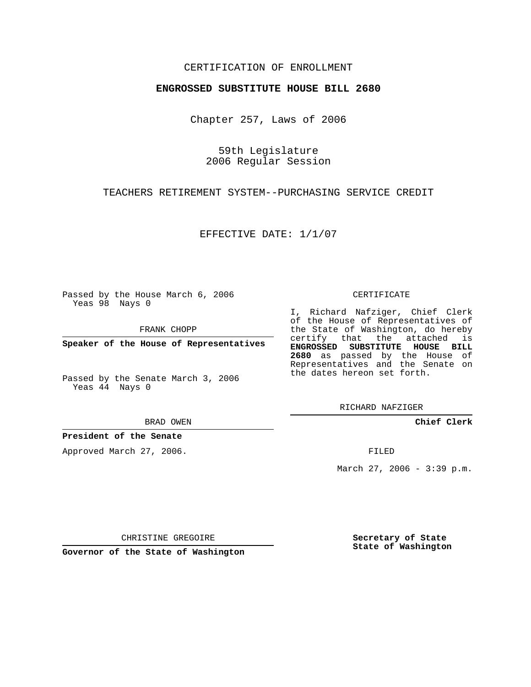## CERTIFICATION OF ENROLLMENT

## **ENGROSSED SUBSTITUTE HOUSE BILL 2680**

Chapter 257, Laws of 2006

59th Legislature 2006 Regular Session

TEACHERS RETIREMENT SYSTEM--PURCHASING SERVICE CREDIT

EFFECTIVE DATE: 1/1/07

Passed by the House March 6, 2006 Yeas 98 Nays 0

FRANK CHOPP

**Speaker of the House of Representatives**

Passed by the Senate March 3, 2006 Yeas 44 Nays 0

BRAD OWEN

**President of the Senate**

Approved March 27, 2006.

CERTIFICATE

I, Richard Nafziger, Chief Clerk of the House of Representatives of the State of Washington, do hereby certify that the attached is **ENGROSSED SUBSTITUTE HOUSE BILL 2680** as passed by the House of Representatives and the Senate on the dates hereon set forth.

RICHARD NAFZIGER

**Chief Clerk**

FILED

March 27, 2006 - 3:39 p.m.

CHRISTINE GREGOIRE

**Governor of the State of Washington**

**Secretary of State State of Washington**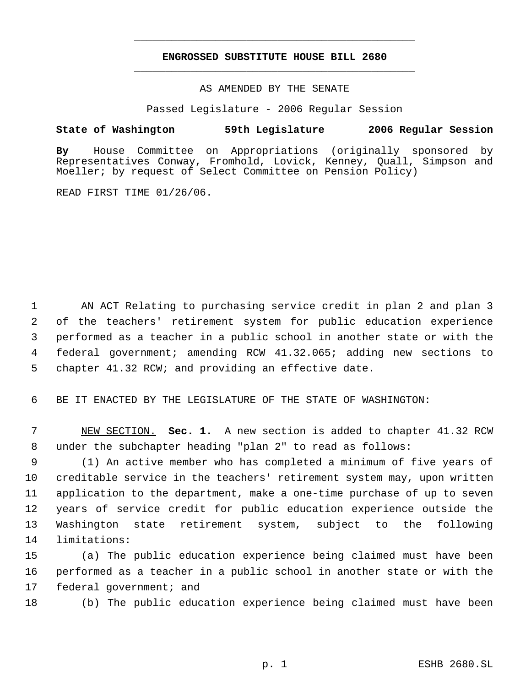## **ENGROSSED SUBSTITUTE HOUSE BILL 2680** \_\_\_\_\_\_\_\_\_\_\_\_\_\_\_\_\_\_\_\_\_\_\_\_\_\_\_\_\_\_\_\_\_\_\_\_\_\_\_\_\_\_\_\_\_

\_\_\_\_\_\_\_\_\_\_\_\_\_\_\_\_\_\_\_\_\_\_\_\_\_\_\_\_\_\_\_\_\_\_\_\_\_\_\_\_\_\_\_\_\_

AS AMENDED BY THE SENATE

Passed Legislature - 2006 Regular Session

## **State of Washington 59th Legislature 2006 Regular Session**

**By** House Committee on Appropriations (originally sponsored by Representatives Conway, Fromhold, Lovick, Kenney, Quall, Simpson and Moeller; by request of Select Committee on Pension Policy)

READ FIRST TIME 01/26/06.

 AN ACT Relating to purchasing service credit in plan 2 and plan 3 of the teachers' retirement system for public education experience performed as a teacher in a public school in another state or with the federal government; amending RCW 41.32.065; adding new sections to chapter 41.32 RCW; and providing an effective date.

6 BE IT ENACTED BY THE LEGISLATURE OF THE STATE OF WASHINGTON:

 7 NEW SECTION. **Sec. 1.** A new section is added to chapter 41.32 RCW 8 under the subchapter heading "plan 2" to read as follows:

 (1) An active member who has completed a minimum of five years of creditable service in the teachers' retirement system may, upon written application to the department, make a one-time purchase of up to seven years of service credit for public education experience outside the Washington state retirement system, subject to the following limitations:

15 (a) The public education experience being claimed must have been 16 performed as a teacher in a public school in another state or with the 17 federal government; and

18 (b) The public education experience being claimed must have been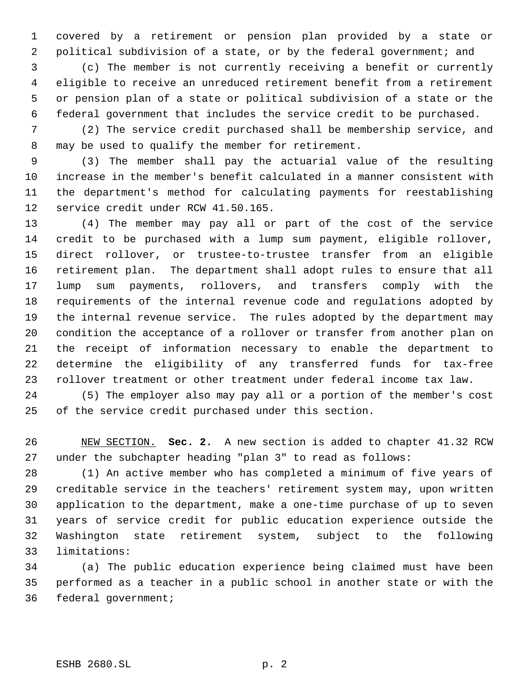covered by a retirement or pension plan provided by a state or 2 political subdivision of a state, or by the federal government; and

 (c) The member is not currently receiving a benefit or currently eligible to receive an unreduced retirement benefit from a retirement or pension plan of a state or political subdivision of a state or the federal government that includes the service credit to be purchased.

 (2) The service credit purchased shall be membership service, and may be used to qualify the member for retirement.

 (3) The member shall pay the actuarial value of the resulting increase in the member's benefit calculated in a manner consistent with the department's method for calculating payments for reestablishing service credit under RCW 41.50.165.

 (4) The member may pay all or part of the cost of the service credit to be purchased with a lump sum payment, eligible rollover, direct rollover, or trustee-to-trustee transfer from an eligible retirement plan. The department shall adopt rules to ensure that all lump sum payments, rollovers, and transfers comply with the requirements of the internal revenue code and regulations adopted by the internal revenue service. The rules adopted by the department may condition the acceptance of a rollover or transfer from another plan on the receipt of information necessary to enable the department to determine the eligibility of any transferred funds for tax-free rollover treatment or other treatment under federal income tax law.

 (5) The employer also may pay all or a portion of the member's cost of the service credit purchased under this section.

 NEW SECTION. **Sec. 2.** A new section is added to chapter 41.32 RCW under the subchapter heading "plan 3" to read as follows:

 (1) An active member who has completed a minimum of five years of creditable service in the teachers' retirement system may, upon written application to the department, make a one-time purchase of up to seven years of service credit for public education experience outside the Washington state retirement system, subject to the following limitations:

 (a) The public education experience being claimed must have been performed as a teacher in a public school in another state or with the federal government;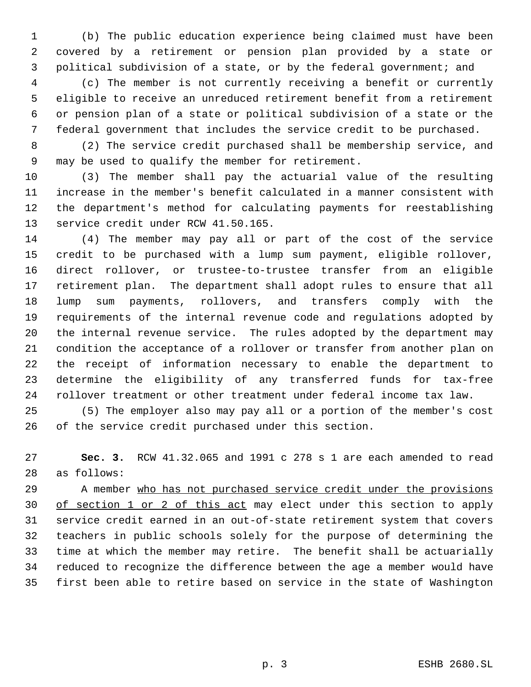(b) The public education experience being claimed must have been covered by a retirement or pension plan provided by a state or political subdivision of a state, or by the federal government; and

 (c) The member is not currently receiving a benefit or currently eligible to receive an unreduced retirement benefit from a retirement or pension plan of a state or political subdivision of a state or the federal government that includes the service credit to be purchased.

 (2) The service credit purchased shall be membership service, and may be used to qualify the member for retirement.

 (3) The member shall pay the actuarial value of the resulting increase in the member's benefit calculated in a manner consistent with the department's method for calculating payments for reestablishing service credit under RCW 41.50.165.

 (4) The member may pay all or part of the cost of the service credit to be purchased with a lump sum payment, eligible rollover, direct rollover, or trustee-to-trustee transfer from an eligible retirement plan. The department shall adopt rules to ensure that all lump sum payments, rollovers, and transfers comply with the requirements of the internal revenue code and regulations adopted by the internal revenue service. The rules adopted by the department may condition the acceptance of a rollover or transfer from another plan on the receipt of information necessary to enable the department to determine the eligibility of any transferred funds for tax-free rollover treatment or other treatment under federal income tax law.

 (5) The employer also may pay all or a portion of the member's cost of the service credit purchased under this section.

 **Sec. 3.** RCW 41.32.065 and 1991 c 278 s 1 are each amended to read as follows:

 A member who has not purchased service credit under the provisions of section 1 or 2 of this act may elect under this section to apply service credit earned in an out-of-state retirement system that covers teachers in public schools solely for the purpose of determining the time at which the member may retire. The benefit shall be actuarially reduced to recognize the difference between the age a member would have first been able to retire based on service in the state of Washington